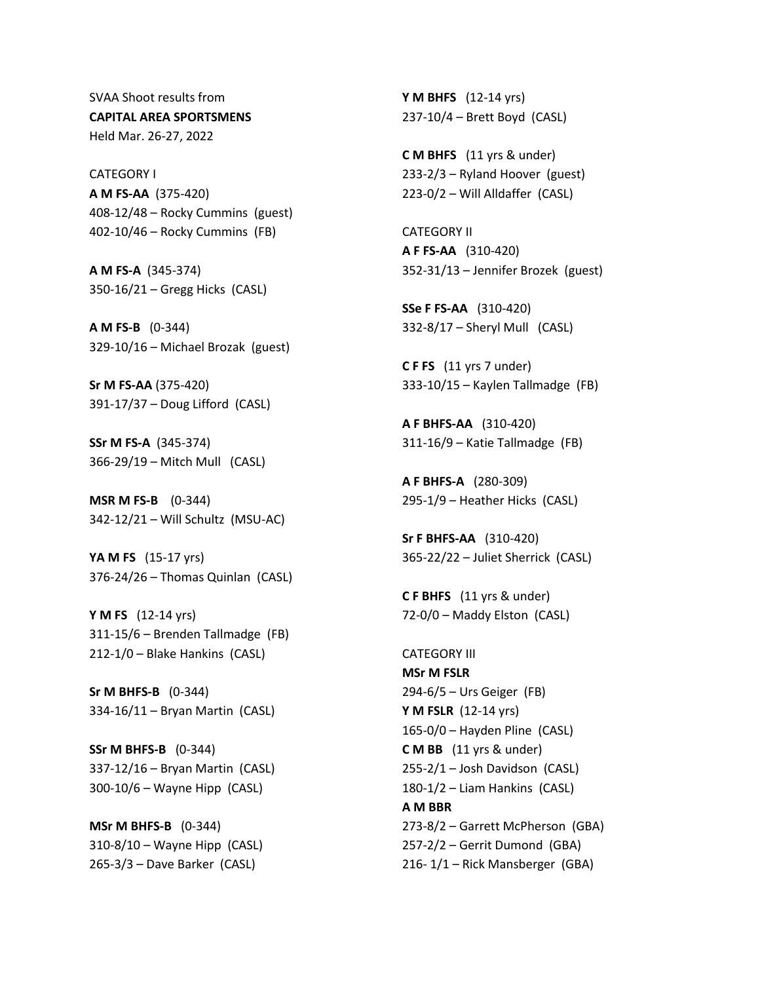SVAA Shoot results from **CAPITAL AREA SPORTSMENS**  Held Mar. 26-27, 2022

CATEGORY I **A M FS-AA** (375-420) 408-12/48 – Rocky Cummins (guest) 402-10/46 – Rocky Cummins (FB)

**A M FS-A** (345-374) 350-16/21 – Gregg Hicks (CASL)

**A M FS-B** (0-344) 329-10/16 – Michael Brozak (guest)

**Sr M FS-AA** (375-420) 391-17/37 – Doug Lifford (CASL)

**SSr M FS-A** (345-374) 366-29/19 – Mitch Mull (CASL)

**MSR M FS-B** (0-344) 342-12/21 – Will Schultz (MSU-AC)

**YA M FS** (15-17 yrs) 376-24/26 – Thomas Quinlan (CASL)

**Y M FS** (12-14 yrs) 311-15/6 – Brenden Tallmadge (FB) 212-1/0 – Blake Hankins (CASL)

**Sr M BHFS-B** (0-344) 334-16/11 – Bryan Martin (CASL)

**SSr M BHFS-B** (0-344) 337-12/16 – Bryan Martin (CASL) 300-10/6 – Wayne Hipp (CASL)

**MSr M BHFS-B** (0-344) 310-8/10 – Wayne Hipp (CASL) 265-3/3 – Dave Barker (CASL)

**Y M BHFS** (12-14 yrs) 237-10/4 – Brett Boyd (CASL)

**C M BHFS** (11 yrs & under) 233-2/3 – Ryland Hoover (guest) 223-0/2 – Will Alldaffer (CASL)

CATEGORY II **A F FS-AA** (310-420) 352-31/13 – Jennifer Brozek (guest)

**SSe F FS-AA** (310-420) 332-8/17 – Sheryl Mull (CASL)

**C F FS** (11 yrs 7 under) 333-10/15 – Kaylen Tallmadge (FB)

**A F BHFS-AA** (310-420) 311-16/9 – Katie Tallmadge (FB)

**A F BHFS-A** (280-309) 295-1/9 – Heather Hicks (CASL)

**Sr F BHFS-AA** (310-420) 365-22/22 – Juliet Sherrick (CASL)

**C F BHFS** (11 yrs & under) 72-0/0 – Maddy Elston (CASL)

CATEGORY III **MSr M FSLR**  294-6/5 – Urs Geiger (FB) **Y M FSLR** (12-14 yrs) 165-0/0 – Hayden Pline (CASL) **C M BB** (11 yrs & under) 255-2/1 – Josh Davidson (CASL) 180-1/2 – Liam Hankins (CASL) **A M BBR** 273-8/2 – Garrett McPherson (GBA) 257-2/2 – Gerrit Dumond (GBA) 216- 1/1 – Rick Mansberger (GBA)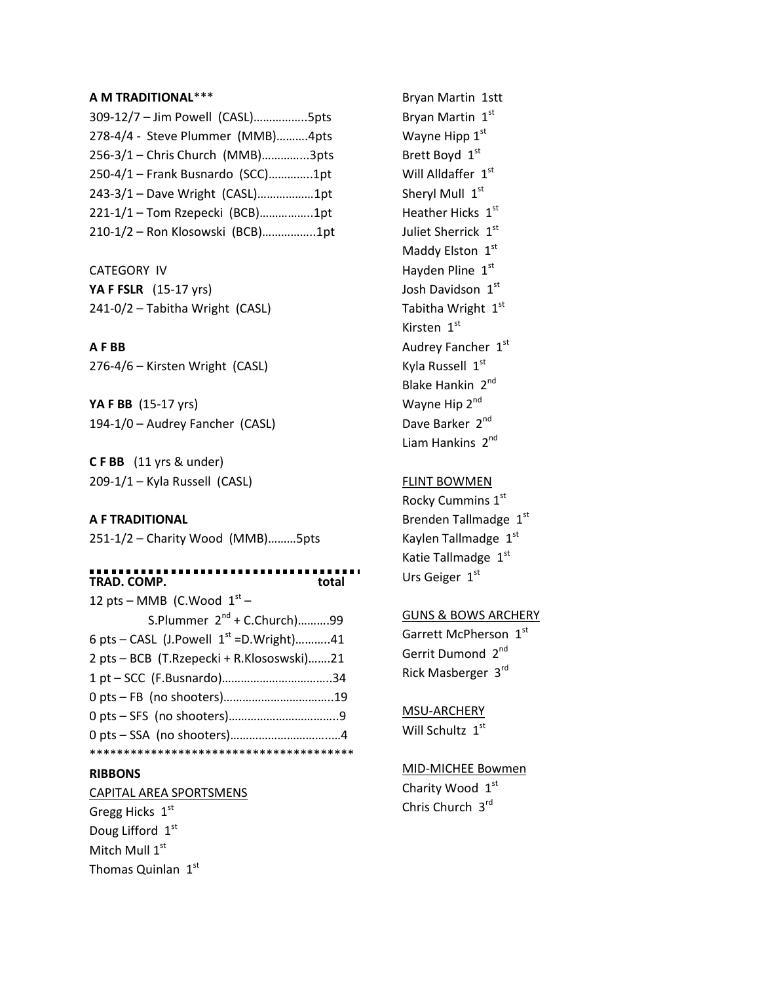#### **A M TRADITIONAL**\*\*\*

| 309-12/7 - Jim Powell (CASL)5pts  |  |
|-----------------------------------|--|
| 278-4/4 - Steve Plummer (MMB)4pts |  |
| 256-3/1 - Chris Church (MMB)3pts  |  |
| 250-4/1 - Frank Busnardo (SCC)1pt |  |
| 243-3/1 - Dave Wright (CASL)1pt   |  |
| 221-1/1 - Tom Rzepecki (BCB)1pt   |  |
| 210-1/2 - Ron Klosowski (BCB)1pt  |  |

CATEGORY IV **YA F FSLR** (15-17 yrs) 241-0/2 – Tabitha Wright (CASL)

# **A F BB**

276-4/6 – Kirsten Wright (CASL)

**YA F BB** (15-17 yrs) 194-1/0 – Audrey Fancher (CASL)

**C F BB** (11 yrs & under) 209-1/1 – Kyla Russell (CASL)

# **A F TRADITIONAL**

251-1/2 – Charity Wood (MMB)………5pts

#### . . **TRAD. COMP. total**

| 12 pts – MMB (C.Wood $1st$ –                    |  |
|-------------------------------------------------|--|
| S.Plummer $2^{nd}$ + C.Church)99                |  |
| 6 pts – CASL (J. Powell $1^{st}$ = D. Wright)41 |  |
| 2 pts - BCB (T.Rzepecki + R.Klososwski)21       |  |
|                                                 |  |
|                                                 |  |
|                                                 |  |
|                                                 |  |
|                                                 |  |

#### **RIBBONS**

CAPITAL AREA SPORTSMENS Gregg Hicks 1st Doug Lifford 1st Mitch Mull 1<sup>st</sup> Thomas Quinlan  $1<sup>st</sup>$ 

Bryan Martin 1stt Bryan Martin 1st Wayne Hipp  $1<sup>st</sup>$ Brett Boyd 1st Will Alldaffer 1st Sheryl Mull 1st Heather Hicks  $1<sup>st</sup>$ Juliet Sherrick 1st Maddy Elston 1st Hayden Pline 1st Josh Davidson 1st Tabitha Wright 1st Kirsten  $1<sup>st</sup>$ Audrey Fancher 1st Kyla Russell 1st Blake Hankin 2<sup>nd</sup> Wayne Hip 2<sup>nd</sup> Dave Barker 2<sup>nd</sup> Liam Hankins 2<sup>nd</sup>

# FLINT BOWMEN

Rocky Cummins 1st Brenden Tallmadge 1st Kaylen Tallmadge 1st Katie Tallmadge 1st Urs Geiger 1st

#### GUNS & BOWS ARCHERY

Garrett McPherson 1st Gerrit Dumond 2<sup>nd</sup> Rick Masberger 3rd

### MSU-ARCHERY

Will Schultz 1st

# MID-MICHEE Bowmen

Charity Wood 1st Chris Church 3rd